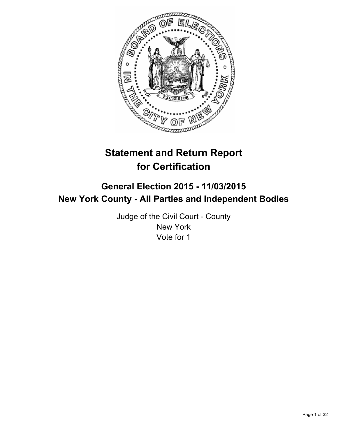

# **Statement and Return Report for Certification**

## **General Election 2015 - 11/03/2015 New York County - All Parties and Independent Bodies**

Judge of the Civil Court - County New York Vote for 1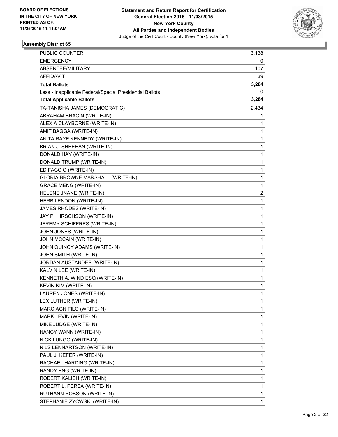

| <b>PUBLIC COUNTER</b>                                    | 3,138        |
|----------------------------------------------------------|--------------|
| <b>EMERGENCY</b>                                         | 0            |
| ABSENTEE/MILITARY                                        | 107          |
| <b>AFFIDAVIT</b>                                         | 39           |
| <b>Total Ballots</b>                                     | 3,284        |
| Less - Inapplicable Federal/Special Presidential Ballots | 0            |
| <b>Total Applicable Ballots</b>                          | 3,284        |
| TA-TANISHA JAMES (DEMOCRATIC)                            | 2,434        |
| ABRAHAM BRACIN (WRITE-IN)                                | 1            |
| ALEXIA CLAYBORNE (WRITE-IN)                              | 1            |
| AMIT BAGGA (WRITE-IN)                                    | 1            |
| ANITA RAYE KENNEDY (WRITE-IN)                            | 1            |
| BRIAN J. SHEEHAN (WRITE-IN)                              | 1            |
| DONALD HAY (WRITE-IN)                                    | 1            |
| DONALD TRUMP (WRITE-IN)                                  | 1            |
| ED FACCIO (WRITE-IN)                                     | 1            |
| GLORIA BROWNE MARSHALL (WRITE-IN)                        | 1            |
| <b>GRACE MENG (WRITE-IN)</b>                             | 1            |
| HELENE JNANE (WRITE-IN)                                  | 2            |
| HERB LENDON (WRITE-IN)                                   | 1            |
| JAMES RHODES (WRITE-IN)                                  | 1            |
| JAY P. HIRSCHSON (WRITE-IN)                              | 1            |
| JEREMY SCHIFFRES (WRITE-IN)                              | 1            |
| JOHN JONES (WRITE-IN)                                    | 1            |
| JOHN MCCAIN (WRITE-IN)                                   | 1            |
| JOHN QUINCY ADAMS (WRITE-IN)                             | 1            |
| JOHN SMITH (WRITE-IN)                                    | 1            |
| JORDAN AUSTANDER (WRITE-IN)                              | 1            |
| KALVIN LEE (WRITE-IN)                                    | 1            |
| KENNETH A. WIND ESQ (WRITE-IN)                           | 1            |
| KEVIN KIM (WRITE-IN)                                     | 1            |
| LAUREN JONES (WRITE-IN)                                  | 1            |
| LEX LUTHER (WRITE-IN)                                    | 1            |
| MARC AGNIFILO (WRITE-IN)                                 | 1            |
| MARK LEVIN (WRITE-IN)                                    | 1            |
| MIKE JUDGE (WRITE-IN)                                    | 1            |
| NANCY WANN (WRITE-IN)                                    | 1            |
| NICK LUNGO (WRITE-IN)                                    | 1            |
| NILS LENNARTSON (WRITE-IN)                               | 1            |
| PAUL J. KEFER (WRITE-IN)                                 | 1            |
| RACHAEL HARDING (WRITE-IN)                               | 1            |
| RANDY ENG (WRITE-IN)                                     | 1            |
| ROBERT KALISH (WRITE-IN)                                 | 1            |
| ROBERT L. PEREA (WRITE-IN)                               | 1            |
| RUTHANN ROBSON (WRITE-IN)                                | 1            |
| STEPHANIE ZYCWSKI (WRITE-IN)                             | $\mathbf{1}$ |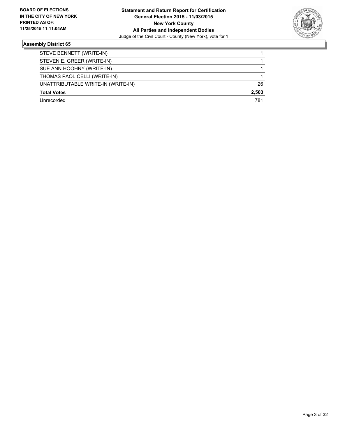

| STEVE BENNETT (WRITE-IN)           |       |
|------------------------------------|-------|
| STEVEN E. GREER (WRITE-IN)         |       |
| SUE ANN HOOHNY (WRITE-IN)          |       |
| THOMAS PAOLICELLI (WRITE-IN)       |       |
| UNATTRIBUTABLE WRITE-IN (WRITE-IN) | 26    |
| <b>Total Votes</b>                 | 2,503 |
| Unrecorded                         | 781   |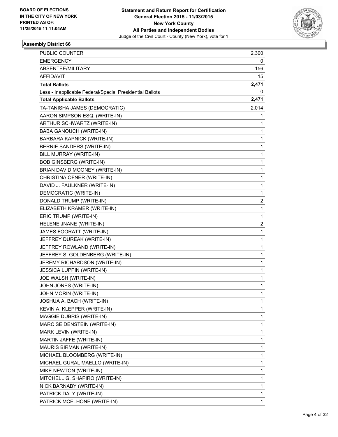

| <b>PUBLIC COUNTER</b>                                    | 2,300 |
|----------------------------------------------------------|-------|
| <b>EMERGENCY</b>                                         | 0     |
| ABSENTEE/MILITARY                                        | 156   |
| <b>AFFIDAVIT</b>                                         | 15    |
| <b>Total Ballots</b>                                     | 2,471 |
| Less - Inapplicable Federal/Special Presidential Ballots | 0     |
| <b>Total Applicable Ballots</b>                          | 2,471 |
| TA-TANISHA JAMES (DEMOCRATIC)                            | 2,014 |
| AARON SIMPSON ESQ. (WRITE-IN)                            | 1     |
| ARTHUR SCHWARTZ (WRITE-IN)                               | 1     |
| BABA GANOUCH (WRITE-IN)                                  | 1     |
| BARBARA KAPNICK (WRITE-IN)                               | 1     |
| BERNIE SANDERS (WRITE-IN)                                | 1     |
| BILL MURRAY (WRITE-IN)                                   | 1     |
| <b>BOB GINSBERG (WRITE-IN)</b>                           | 1     |
| BRIAN DAVID MOONEY (WRITE-IN)                            | 1     |
| CHRISTINA OFNER (WRITE-IN)                               | 1     |
| DAVID J. FAULKNER (WRITE-IN)                             | 1     |
| DEMOCRATIC (WRITE-IN)                                    | 1     |
| DONALD TRUMP (WRITE-IN)                                  | 2     |
| ELIZABETH KRAMER (WRITE-IN)                              | 1     |
| ERIC TRUMP (WRITE-IN)                                    | 1     |
| HELENE JNANE (WRITE-IN)                                  | 2     |
| JAMES FOORATT (WRITE-IN)                                 | 1     |
| JEFFREY DUREAK (WRITE-IN)                                | 1     |
| JEFFREY ROWLAND (WRITE-IN)                               | 1     |
| JEFFREY S. GOLDENBERG (WRITE-IN)                         | 1     |
| JEREMY RICHARDSON (WRITE-IN)                             | 1     |
| <b>JESSICA LUPPIN (WRITE-IN)</b>                         | 1     |
| JOE WALSH (WRITE-IN)                                     | 1     |
| JOHN JONES (WRITE-IN)                                    | 1     |
| JOHN MORIN (WRITE-IN)                                    | 1     |
| JOSHUA A. BACH (WRITE-IN)                                | 1     |
| KEVIN A. KLEPPER (WRITE-IN)                              | 1     |
| MAGGIE DUBRIS (WRITE-IN)                                 | 1     |
| MARC SEIDENSTEIN (WRITE-IN)                              | 1     |
| MARK LEVIN (WRITE-IN)                                    | 1     |
| MARTIN JAFFE (WRITE-IN)                                  | 1     |
| MAURIS BIRMAN (WRITE-IN)                                 | 1     |
| MICHAEL BLOOMBERG (WRITE-IN)                             | 1     |
| MICHAEL GURAL MAELLO (WRITE-IN)                          | 1     |
| MIKE NEWTON (WRITE-IN)                                   | 1     |
| MITCHELL G. SHAPIRO (WRITE-IN)                           | 1     |
| NICK BARNABY (WRITE-IN)                                  | 1     |
| PATRICK DALY (WRITE-IN)                                  | 1     |
| PATRICK MCELHONE (WRITE-IN)                              | 1     |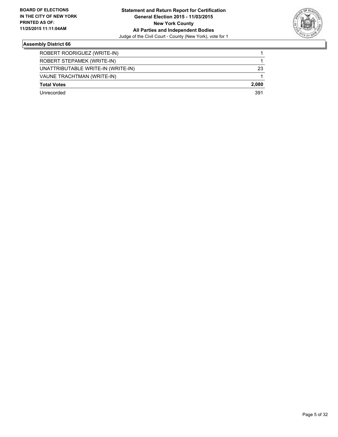

| ROBERT RODRIGUEZ (WRITE-IN)        |       |
|------------------------------------|-------|
| ROBERT STEPAMEK (WRITE-IN)         |       |
| UNATTRIBUTABLE WRITE-IN (WRITE-IN) | 23    |
| VAUNE TRACHTMAN (WRITE-IN)         |       |
| <b>Total Votes</b>                 | 2,080 |
| Unrecorded                         | 391   |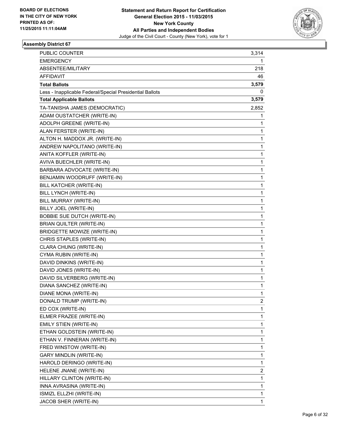

| <b>PUBLIC COUNTER</b>                                    | 3,314 |
|----------------------------------------------------------|-------|
| <b>EMERGENCY</b>                                         | 1     |
| ABSENTEE/MILITARY                                        | 218   |
| <b>AFFIDAVIT</b>                                         | 46    |
| <b>Total Ballots</b>                                     | 3,579 |
| Less - Inapplicable Federal/Special Presidential Ballots | 0     |
| <b>Total Applicable Ballots</b>                          | 3,579 |
| TA-TANISHA JAMES (DEMOCRATIC)                            | 2,852 |
| ADAM OUSTATCHER (WRITE-IN)                               | 1     |
| ADOLPH GREENE (WRITE-IN)                                 | 1     |
| ALAN FERSTER (WRITE-IN)                                  | 1     |
| ALTON H. MADDOX JR. (WRITE-IN)                           | 1     |
| ANDREW NAPOLITANO (WRITE-IN)                             | 1     |
| ANITA KOFFLER (WRITE-IN)                                 | 1     |
| AVIVA BUECHLER (WRITE-IN)                                | 1     |
| BARBARA ADVOCATE (WRITE-IN)                              | 1     |
| BENJAMIN WOODRUFF (WRITE-IN)                             | 1     |
| BILL KATCHER (WRITE-IN)                                  | 1     |
| BILL LYNCH (WRITE-IN)                                    | 1     |
| BILL MURRAY (WRITE-IN)                                   | 1     |
| BILLY JOEL (WRITE-IN)                                    | 1     |
| <b>BOBBIE SUE DUTCH (WRITE-IN)</b>                       | 1     |
| <b>BRIAN QUILTER (WRITE-IN)</b>                          | 1     |
| <b>BRIDGETTE MOWIZE (WRITE-IN)</b>                       | 1     |
| CHRIS STAPLES (WRITE-IN)                                 | 1     |
| CLARA CHUNG (WRITE-IN)                                   | 1     |
| CYMA RUBIN (WRITE-IN)                                    | 1     |
| DAVID DINKINS (WRITE-IN)                                 | 1     |
| DAVID JONES (WRITE-IN)                                   | 1     |
| DAVID SILVERBERG (WRITE-IN)                              | 1     |
| DIANA SANCHEZ (WRITE-IN)                                 | 1     |
| DIANE MONA (WRITE-IN)                                    | 1     |
| DONALD TRUMP (WRITE-IN)                                  | 2     |
| ED COX (WRITE-IN)                                        | 1     |
| ELMER FRAZEE (WRITE-IN)                                  | 1     |
| EMILY STIEN (WRITE-IN)                                   | 1     |
| ETHAN GOLDSTEIN (WRITE-IN)                               | 1     |
| ETHAN V. FINNERAN (WRITE-IN)                             | 1     |
| FRED WINSTOW (WRITE-IN)                                  | 1     |
| GARY MINDLIN (WRITE-IN)                                  | 1     |
| HAROLD DERINGO (WRITE-IN)                                | 1     |
| HELENE JNANE (WRITE-IN)                                  | 2     |
| HILLARY CLINTON (WRITE-IN)                               | 1     |
| INNA AVRASINA (WRITE-IN)                                 | 1     |
| ISMIZL ELLZHI (WRITE-IN)                                 | 1     |
| JACOB SHER (WRITE-IN)                                    | 1     |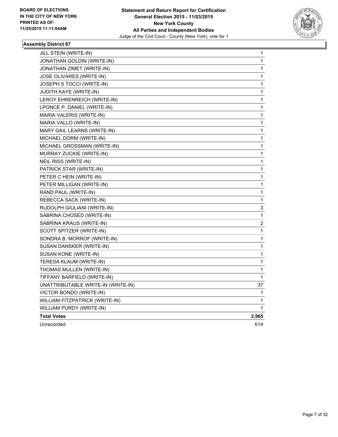

| JILL STEIN (WRITE-IN)              | 1                       |
|------------------------------------|-------------------------|
| JONATHAN GOLDIN (WRITE-IN)         | 1                       |
| JONATHAN ZIMET (WRITE-IN)          | 1                       |
| JOSE OLIVARES (WRITE-IN)           | 1                       |
| JOSEPH S TOCCI (WRITE-IN)          | 1                       |
| JUDITH KAYE (WRITE-IN)             | 1                       |
| LEROY EHRENREICH (WRITE-IN)        | 1                       |
| LPONCE P. DANIEL (WRITE-IN)        | 1                       |
| MARIA VALERIS (WRITE-IN)           | 1                       |
| MARIA VALLO (WRITE-IN)             | 1                       |
| MARY GAIL LEARNS (WRITE-IN)        | 1                       |
| MICHAEL DORM (WRITE-IN)            | 1                       |
| MICHAEL GROSSMAN (WRITE-IN)        | 1                       |
| MURRAY ZUCKIE (WRITE-IN)           | 1                       |
| NEIL RISS (WRITE-IN)               | 1                       |
| PATRICK STAR (WRITE-IN)            | 1                       |
| PETER C HEIN (WRITE-IN)            | 1                       |
| PETER MILLIGAN (WRITE-IN)          | 1                       |
| RAND PAUL (WRITE-IN)               | 1                       |
| REBECCA SACK (WRITE-IN)            | 1                       |
| RUDOLPH GIULIANI (WRITE-IN)        | 3                       |
| SABRINA CHOSED (WRITE-IN)          | 1                       |
| SABRINA KRAUS (WRITE-IN)           | $\overline{\mathbf{c}}$ |
| SCOTT SPITZER (WRITE-IN)           | 1                       |
| SONDRA B. MORROF (WRITE-IN)        | 1                       |
| SUSAN DANSKER (WRITE-IN)           | 1                       |
| SUSAN KONE (WRITE-IN)              | 1                       |
| TERESA KLAUM (WRITE-IN)            | 1                       |
| THOMAS MULLEN (WRITE-IN)           | 1                       |
| TIFFANY BARFIELD (WRITE-IN)        | 1                       |
| UNATTRIBUTABLE WRITE-IN (WRITE-IN) | 37                      |
| VICTOR BONDO (WRITE-IN)            | 1                       |
| WILLIAM FITZPATRICK (WRITE-IN)     | 1                       |
| WILLIAM PURDY (WRITE-IN)           | 1                       |
| <b>Total Votes</b>                 | 2,965                   |
| Unrecorded                         | 614                     |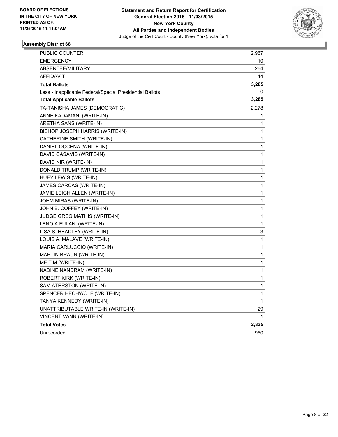

| PUBLIC COUNTER                                           | 2,967 |
|----------------------------------------------------------|-------|
| <b>EMERGENCY</b>                                         | 10    |
| ABSENTEE/MILITARY                                        | 264   |
| <b>AFFIDAVIT</b>                                         | 44    |
| <b>Total Ballots</b>                                     | 3,285 |
| Less - Inapplicable Federal/Special Presidential Ballots | 0     |
| <b>Total Applicable Ballots</b>                          | 3,285 |
| TA-TANISHA JAMES (DEMOCRATIC)                            | 2,278 |
| ANNE KADAMANI (WRITE-IN)                                 | 1     |
| ARETHA SANS (WRITE-IN)                                   | 1     |
| BISHOP JOSEPH HARRIS (WRITE-IN)                          | 1     |
| CATHERINE SMITH (WRITE-IN)                               | 1     |
| DANIEL OCCENA (WRITE-IN)                                 | 1     |
| DAVID CASAVIS (WRITE-IN)                                 | 1     |
| DAVID NIR (WRITE-IN)                                     | 1     |
| DONALD TRUMP (WRITE-IN)                                  | 1     |
| HUEY LEWIS (WRITE-IN)                                    | 1     |
| JAMES CARCAS (WRITE-IN)                                  | 1     |
| JAMIE LEIGH ALLEN (WRITE-IN)                             | 1     |
| JOHM MIRAS (WRITE-IN)                                    | 1     |
| JOHN B. COFFEY (WRITE-IN)                                | 1     |
| <b>JUDGE GREG MATHIS (WRITE-IN)</b>                      | 1     |
| LENOIA FULANI (WRITE-IN)                                 | 1     |
| LISA S. HEADLEY (WRITE-IN)                               | 3     |
| LOUIS A. MALAVE (WRITE-IN)                               | 1     |
| MARIA CARLUCCIO (WRITE-IN)                               | 1     |
| MARTIN BRAUN (WRITE-IN)                                  | 1     |
| ME TIM (WRITE-IN)                                        | 1     |
| NADINE NANDRAM (WRITE-IN)                                | 1     |
| ROBERT KIRK (WRITE-IN)                                   | 1     |
| SAM ATERSTON (WRITE-IN)                                  | 1     |
| SPENCER HECHWOLF (WRITE-IN)                              | 1     |
| TANYA KENNEDY (WRITE-IN)                                 | 1     |
| UNATTRIBUTABLE WRITE-IN (WRITE-IN)                       | 29    |
| VINCENT VANN (WRITE-IN)                                  | 1     |
| <b>Total Votes</b>                                       | 2,335 |
| Unrecorded                                               | 950   |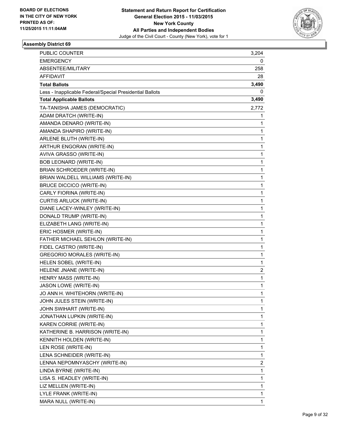

| <b>PUBLIC COUNTER</b>                                    | 3,204 |
|----------------------------------------------------------|-------|
| <b>EMERGENCY</b>                                         | 0     |
| ABSENTEE/MILITARY                                        | 258   |
| <b>AFFIDAVIT</b>                                         | 28    |
| <b>Total Ballots</b>                                     | 3,490 |
| Less - Inapplicable Federal/Special Presidential Ballots | 0     |
| <b>Total Applicable Ballots</b>                          | 3,490 |
| TA-TANISHA JAMES (DEMOCRATIC)                            | 2,772 |
| ADAM DRATCH (WRITE-IN)                                   | 1     |
| AMANDA DENARO (WRITE-IN)                                 | 1     |
| AMANDA SHAPIRO (WRITE-IN)                                | 1     |
| ARLENE BLUTH (WRITE-IN)                                  | 1     |
| ARTHUR ENGORAN (WRITE-IN)                                | 1     |
| AVIVA GRASSO (WRITE-IN)                                  | 1     |
| BOB LEONARD (WRITE-IN)                                   | 1     |
| BRIAN SCHROEDER (WRITE-IN)                               | 1     |
| BRIAN WALDELL WILLIAMS (WRITE-IN)                        | 1     |
| <b>BRUCE DICCICO (WRITE-IN)</b>                          | 1     |
| CARLY FIORINA (WRITE-IN)                                 | 1     |
| <b>CURTIS ARLUCK (WRITE-IN)</b>                          | 1     |
| DIANE LACEY-WINLEY (WRITE-IN)                            | 1     |
| DONALD TRUMP (WRITE-IN)                                  | 1     |
| ELIZABETH LANG (WRITE-IN)                                | 1     |
| ERIC HOSMER (WRITE-IN)                                   | 1     |
| FATHER MICHAEL SEHLON (WRITE-IN)                         | 1     |
| FIDEL CASTRO (WRITE-IN)                                  | 1     |
| GREGORIO MORALES (WRITE-IN)                              | 1     |
| HELEN SOBEL (WRITE-IN)                                   | 1     |
| HELENE JNANE (WRITE-IN)                                  | 2     |
| HENRY MASS (WRITE-IN)                                    | 1     |
| JASON LOWE (WRITE-IN)                                    | 1     |
| JO ANN H. WHITEHORN (WRITE-IN)                           | 1     |
| JOHN JULES STEIN (WRITE-IN)                              | 1     |
| JOHN SWIHART (WRITE-IN)                                  | 1     |
| JONATHAN LUPKIN (WRITE-IN)                               | 1     |
| KAREN CORRIE (WRITE-IN)                                  | 1     |
| KATHERINE B. HARRISON (WRITE-IN)                         | 1     |
| KENNITH HOLDEN (WRITE-IN)                                | 1     |
| LEN ROSE (WRITE-IN)                                      | 1     |
| LENA SCHNEIDER (WRITE-IN)                                | 1     |
| LENNA NEPOMNYASCHY (WRITE-IN)                            | 2     |
| LINDA BYRNE (WRITE-IN)                                   | 1     |
| LISA S. HEADLEY (WRITE-IN)                               | 1     |
| LIZ MELLEN (WRITE-IN)                                    | 1     |
| LYLE FRANK (WRITE-IN)                                    | 1     |
| MARA NULL (WRITE-IN)                                     | 1     |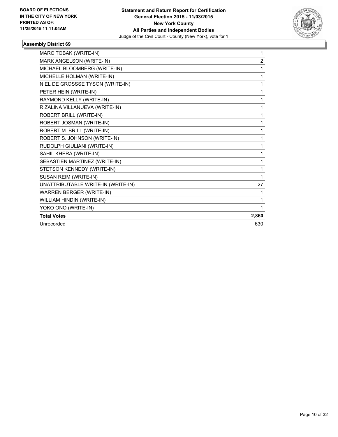

| MARC TOBAK (WRITE-IN)              | $\mathbf{1}$   |
|------------------------------------|----------------|
| MARK ANGELSON (WRITE-IN)           | $\overline{2}$ |
| MICHAEL BLOOMBERG (WRITE-IN)       | 1              |
| MICHELLE HOLMAN (WRITE-IN)         | 1              |
| NIEL DE GROSSSE TYSON (WRITE-IN)   | 1              |
| PETER HEIN (WRITE-IN)              | 1              |
| RAYMOND KELLY (WRITE-IN)           | 1              |
| RIZALINA VILLANUEVA (WRITE-IN)     | 1              |
| ROBERT BRILL (WRITE-IN)            | 1              |
| ROBERT JOSMAN (WRITE-IN)           | 1              |
| ROBERT M. BRILL (WRITE-IN)         | 1              |
| ROBERT S. JOHNSON (WRITE-IN)       | 1              |
| RUDOLPH GIULIANI (WRITE-IN)        | 1              |
| SAHIL KHERA (WRITE-IN)             | 1              |
| SEBASTIEN MARTINEZ (WRITE-IN)      | 1              |
| STETSON KENNEDY (WRITE-IN)         | 1              |
| SUSAN REIM (WRITE-IN)              | 1              |
| UNATTRIBUTABLE WRITE-IN (WRITE-IN) | 27             |
| WARREN BERGER (WRITE-IN)           | 1              |
| WILLIAM HINDIN (WRITE-IN)          | 1              |
| YOKO ONO (WRITE-IN)                | 1              |
| <b>Total Votes</b>                 | 2,860          |
| Unrecorded                         | 630            |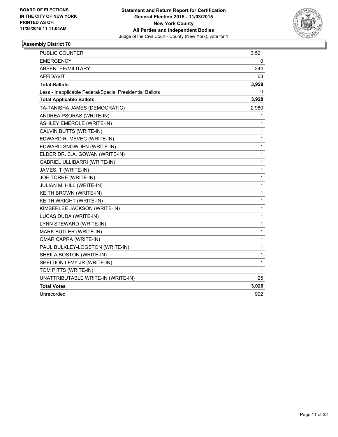

| PUBLIC COUNTER                                           | 3,521        |
|----------------------------------------------------------|--------------|
| <b>EMERGENCY</b>                                         | 0            |
| ABSENTEE/MILITARY                                        | 344          |
| <b>AFFIDAVIT</b>                                         | 63           |
| <b>Total Ballots</b>                                     | 3,928        |
| Less - Inapplicable Federal/Special Presidential Ballots | 0            |
| <b>Total Applicable Ballots</b>                          | 3,928        |
| TA-TANISHA JAMES (DEMOCRATIC)                            | 2,980        |
| ANDREA PSORAS (WRITE-IN)                                 | 1            |
| ASHLEY EMEROLE (WRITE-IN)                                | 1            |
| CALVIN BUTTS (WRITE-IN)                                  | 1            |
| EDWARD R. MEVEC (WRITE-IN)                               | 1            |
| EDWARD SNOWDEN (WRITE-IN)                                | 1            |
| ELDER DR. C.A. GOWAN (WRITE-IN)                          | 1            |
| <b>GABRIEL ULLIBARRI (WRITE-IN)</b>                      | 1            |
| JAMES, T (WRITE-IN)                                      | 1            |
| JOE TORRE (WRITE-IN)                                     | 1            |
| JULIAN M. HILL (WRITE-IN)                                | 1            |
| KEITH BROWN (WRITE-IN)                                   | 1            |
| KEITH WRIGHT (WRITE-IN)                                  | 1            |
| KIMBERLEE JACKSON (WRITE-IN)                             | $\mathbf{1}$ |
| LUCAS DUDA (WRITE-IN)                                    | 1            |
| LYNN STEWARD (WRITE-IN)                                  | 1            |
| <b>MARK BUTLER (WRITE-IN)</b>                            | $\mathbf{1}$ |
| <b>OMAR CAPRA (WRITE-IN)</b>                             | 1            |
| PAUL BULKLEY-LOGSTON (WRITE-IN)                          | 1            |
| SHEILA BOSTON (WRITE-IN)                                 | 1            |
| SHELDON LEVY JR (WRITE-IN)                               | $\mathbf{1}$ |
| TOM PITTS (WRITE-IN)                                     | 1            |
| UNATTRIBUTABLE WRITE-IN (WRITE-IN)                       | 25           |
| <b>Total Votes</b>                                       | 3,026        |
| Unrecorded                                               | 902          |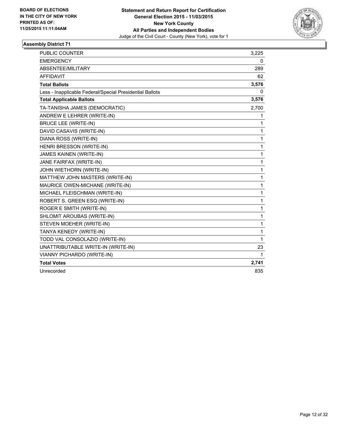

| <b>PUBLIC COUNTER</b>                                    | 3,225 |
|----------------------------------------------------------|-------|
| <b>EMERGENCY</b>                                         | 0     |
| ABSENTEE/MILITARY                                        | 289   |
| <b>AFFIDAVIT</b>                                         | 62    |
| <b>Total Ballots</b>                                     | 3,576 |
| Less - Inapplicable Federal/Special Presidential Ballots | 0     |
| <b>Total Applicable Ballots</b>                          | 3,576 |
| TA-TANISHA JAMES (DEMOCRATIC)                            | 2,700 |
| ANDREW E LEHRER (WRITE-IN)                               | 1     |
| <b>BRUCE LEE (WRITE-IN)</b>                              | 1     |
| DAVID CASAVIS (WRITE-IN)                                 | 1     |
| DIANA ROSS (WRITE-IN)                                    | 1     |
| HENRI BRESSON (WRITE-IN)                                 | 1     |
| JAMES KAINEN (WRITE-IN)                                  | 1     |
| JANE FAIRFAX (WRITE-IN)                                  | 1     |
| JOHN WIETHORN (WRITE-IN)                                 | 1     |
| MATTHEW JOHN MASTERS (WRITE-IN)                          | 1     |
| MAURICE OWEN-MICHANE (WRITE-IN)                          | 1     |
| MICHAEL FLEISCHMAN (WRITE-IN)                            | 1     |
| ROBERT S. GREEN ESQ (WRITE-IN)                           | 1     |
| ROGER E SMITH (WRITE-IN)                                 | 1     |
| SHLOMIT AROUBAS (WRITE-IN)                               | 1     |
| STEVEN MOEHER (WRITE-IN)                                 | 1     |
| TANYA KENEDY (WRITE-IN)                                  | 1     |
| TODD VAL CONSOLAZIO (WRITE-IN)                           | 1     |
| UNATTRIBUTABLE WRITE-IN (WRITE-IN)                       | 23    |
| VIANNY PICHARDO (WRITE-IN)                               | 1     |
| <b>Total Votes</b>                                       | 2,741 |
| Unrecorded                                               | 835   |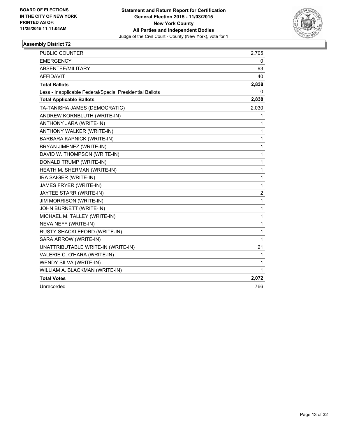

| PUBLIC COUNTER                                           | 2,705 |
|----------------------------------------------------------|-------|
| <b>EMERGENCY</b>                                         | 0     |
| ABSENTEE/MILITARY                                        | 93    |
| <b>AFFIDAVIT</b>                                         | 40    |
| <b>Total Ballots</b>                                     | 2,838 |
| Less - Inapplicable Federal/Special Presidential Ballots | 0     |
| <b>Total Applicable Ballots</b>                          | 2,838 |
| TA-TANISHA JAMES (DEMOCRATIC)                            | 2,030 |
| ANDREW KORNBLUTH (WRITE-IN)                              | 1     |
| ANTHONY JARA (WRITE-IN)                                  | 1     |
| ANTHONY WALKER (WRITE-IN)                                | 1     |
| BARBARA KAPNICK (WRITE-IN)                               | 1     |
| BRYAN JIMENEZ (WRITE-IN)                                 | 1     |
| DAVID W. THOMPSON (WRITE-IN)                             | 1     |
| DONALD TRUMP (WRITE-IN)                                  | 1     |
| HEATH M. SHERMAN (WRITE-IN)                              | 1     |
| IRA SAIGER (WRITE-IN)                                    | 1     |
| JAMES FRYER (WRITE-IN)                                   | 1     |
| JAYTEE STARR (WRITE-IN)                                  | 2     |
| <b>JIM MORRISON (WRITE-IN)</b>                           | 1     |
| JOHN BURNETT (WRITE-IN)                                  | 1     |
| MICHAEL M. TALLEY (WRITE-IN)                             | 1     |
| NEVA NEFF (WRITE-IN)                                     | 1     |
| RUSTY SHACKLEFORD (WRITE-IN)                             | 1     |
| SARA ARROW (WRITE-IN)                                    | 1     |
| UNATTRIBUTABLE WRITE-IN (WRITE-IN)                       | 21    |
| VALERIE C. O'HARA (WRITE-IN)                             | 1     |
| WENDY SILVA (WRITE-IN)                                   | 1     |
| WILLIAM A. BLACKMAN (WRITE-IN)                           | 1     |
| <b>Total Votes</b>                                       | 2,072 |
| Unrecorded                                               | 766   |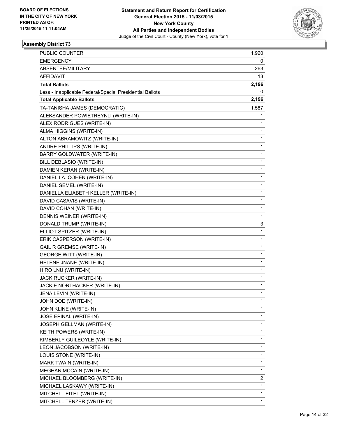

| PUBLIC COUNTER                                           | 1,920 |
|----------------------------------------------------------|-------|
| <b>EMERGENCY</b>                                         | 0     |
| ABSENTEE/MILITARY                                        | 263   |
| <b>AFFIDAVIT</b>                                         | 13    |
| <b>Total Ballots</b>                                     | 2,196 |
| Less - Inapplicable Federal/Special Presidential Ballots | 0     |
| <b>Total Applicable Ballots</b>                          | 2,196 |
| TA-TANISHA JAMES (DEMOCRATIC)                            | 1,587 |
| ALEKSANDER POWIETREYNLI (WRITE-IN)                       | 1     |
| ALEX RODRIGUES (WRITE-IN)                                | 1     |
| ALMA HIGGINS (WRITE-IN)                                  | 1     |
| ALTON ABRAMOWITZ (WRITE-IN)                              | 1     |
| ANDRE PHILLIPS (WRITE-IN)                                | 1     |
| BARRY GOLDWATER (WRITE-IN)                               | 1     |
| BILL DEBLASIO (WRITE-IN)                                 | 1     |
| DAMIEN KERAN (WRITE-IN)                                  | 1     |
| DANIEL I.A. COHEN (WRITE-IN)                             | 1     |
| DANIEL SEMEL (WRITE-IN)                                  | 1     |
| DANIELLA ELIABETH KELLER (WRITE-IN)                      | 1     |
| DAVID CASAVIS (WRITE-IN)                                 | 1     |
| DAVID COHAN (WRITE-IN)                                   | 1     |
| DENNIS WEINER (WRITE-IN)                                 | 1     |
| DONALD TRUMP (WRITE-IN)                                  | 3     |
| ELLIOT SPITZER (WRITE-IN)                                | 1     |
| ERIK CASPERSON (WRITE-IN)                                | 1     |
| <b>GAIL R GREMSE (WRITE-IN)</b>                          | 1     |
| <b>GEORGE WITT (WRITE-IN)</b>                            | 1     |
| HELENE JNANE (WRITE-IN)                                  | 1     |
| HIRO LNU (WRITE-IN)                                      | 1     |
| JACK RUCKER (WRITE-IN)                                   | 1     |
| JACKIE NORTHACKER (WRITE-IN)                             | 1     |
| JENA LEVIN (WRITE-IN)                                    | 1     |
| JOHN DOE (WRITE-IN)                                      | 1     |
| JOHN KLINE (WRITE-IN)                                    | 1     |
| JOSE EPINAL (WRITE-IN)                                   | 1     |
| JOSEPH GELLMAN (WRITE-IN)                                | 1     |
| KEITH POWERS (WRITE-IN)                                  | 1     |
| KIMBERLY GUILEOYLE (WRITE-IN)                            | 1     |
| LEON JACOBSON (WRITE-IN)                                 | 1     |
| LOUIS STONE (WRITE-IN)                                   | 1     |
| MARK TWAIN (WRITE-IN)                                    | 1     |
| MEGHAN MCCAIN (WRITE-IN)                                 | 1     |
| MICHAEL BLOOMBERG (WRITE-IN)                             | 2     |
| MICHAEL LASKAWY (WRITE-IN)                               | 1     |
| MITCHELL EITEL (WRITE-IN)                                | 1     |
| MITCHELL TENZER (WRITE-IN)                               | 1     |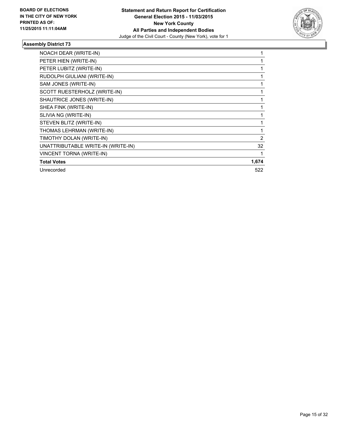

| NOACH DEAR (WRITE-IN)              |       |
|------------------------------------|-------|
| PETER HIEN (WRITE-IN)              |       |
| PETER LUBITZ (WRITE-IN)            |       |
| RUDOLPH GIULIANI (WRITE-IN)        |       |
| SAM JONES (WRITE-IN)               |       |
| SCOTT RUESTERHOLZ (WRITE-IN)       |       |
| SHAUTRICE JONES (WRITE-IN)         |       |
| SHEA FINK (WRITE-IN)               |       |
| SLIVIA NG (WRITE-IN)               |       |
| STEVEN BLITZ (WRITE-IN)            |       |
| THOMAS LEHRMAN (WRITE-IN)          |       |
| TIMOTHY DOLAN (WRITE-IN)           | 2     |
| UNATTRIBUTABLE WRITE-IN (WRITE-IN) | 32    |
| VINCENT TORNA (WRITE-IN)           |       |
| <b>Total Votes</b>                 | 1,674 |
| Unrecorded                         | 522   |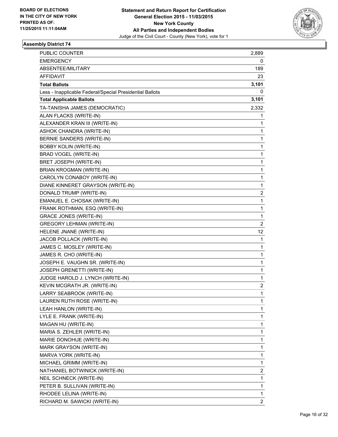

| PUBLIC COUNTER                                           | 2,889                   |
|----------------------------------------------------------|-------------------------|
| <b>EMERGENCY</b>                                         | 0                       |
| ABSENTEE/MILITARY                                        | 189                     |
| <b>AFFIDAVIT</b>                                         | 23                      |
| <b>Total Ballots</b>                                     | 3,101                   |
| Less - Inapplicable Federal/Special Presidential Ballots | 0                       |
| <b>Total Applicable Ballots</b>                          | 3,101                   |
| TA-TANISHA JAMES (DEMOCRATIC)                            | 2,332                   |
| ALAN FLACKS (WRITE-IN)                                   | 1                       |
| ALEXANDER KRAN III (WRITE-IN)                            | 1                       |
| ASHOK CHANDRA (WRITE-IN)                                 | 1                       |
| BERNIE SANDERS (WRITE-IN)                                | 1                       |
| <b>BOBBY KOLIN (WRITE-IN)</b>                            | 1                       |
| BRAD VOGEL (WRITE-IN)                                    | 1                       |
| BRET JOSEPH (WRITE-IN)                                   | 1                       |
| <b>BRIAN KROGMAN (WRITE-IN)</b>                          | 1                       |
| CAROLYN CONABOY (WRITE-IN)                               | 1                       |
| DIANE KINNERET GRAYSON (WRITE-IN)                        | 1                       |
| DONALD TRUMP (WRITE-IN)                                  | $\overline{\mathbf{c}}$ |
| EMANUEL E. CHOSAK (WRITE-IN)                             | 1                       |
| FRANK ROTHMAN, ESQ (WRITE-IN)                            | 1                       |
| <b>GRACE JONES (WRITE-IN)</b>                            | 1                       |
| <b>GREGORY LEHMAN (WRITE-IN)</b>                         | 2                       |
| HELENE JNANE (WRITE-IN)                                  | 12                      |
| JACOB POLLACK (WRITE-IN)                                 | 1                       |
| JAMES C. MOSLEY (WRITE-IN)                               | 1                       |
| JAMES R. CHO (WRITE-IN)                                  | 1                       |
| JOSEPH E. VAUGHN SR. (WRITE-IN)                          | 1                       |
| JOSEPH GRENETTI (WRITE-IN)                               | 1                       |
| JUDGE HAROLD J. LYNCH (WRITE-IN)                         | 1                       |
| KEVIN MCGRATH JR. (WRITE-IN)                             | $\overline{\mathbf{c}}$ |
| LARRY SEABROOK (WRITE-IN)                                | 1                       |
| LAUREN RUTH ROSE (WRITE-IN)                              | 1                       |
| LEAH HANLON (WRITE-IN)                                   | 1                       |
| LYLE E. FRANK (WRITE-IN)                                 | 1                       |
| MAGAN HU (WRITE-IN)                                      | 1                       |
| MARIA S. ZEHLER (WRITE-IN)                               | 1                       |
| MARIE DONOHUE (WRITE-IN)                                 | 1                       |
| MARK GRAYSON (WRITE-IN)                                  | 1                       |
| MARVA YORK (WRITE-IN)                                    | 1                       |
| MICHAEL GRIMM (WRITE-IN)                                 | 1                       |
| NATHANIEL BOTWINICK (WRITE-IN)                           | 2                       |
| NEIL SCHNECK (WRITE-IN)                                  | 1                       |
| PETER B. SULLIVAN (WRITE-IN)                             | 1                       |
| RHODEE LELINA (WRITE-IN)                                 | 1                       |
| RICHARD M. SAWICKI (WRITE-IN)                            | $\overline{2}$          |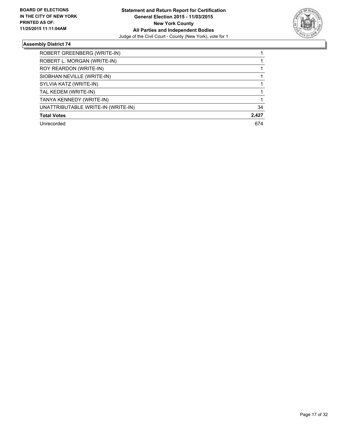

| ROBERT GREENBERG (WRITE-IN)        |       |
|------------------------------------|-------|
| ROBERT L. MORGAN (WRITE-IN)        |       |
| ROY REARDON (WRITE-IN)             |       |
| SIOBHAN NEVILLE (WRITE-IN)         |       |
| SYLVIA KATZ (WRITE-IN)             |       |
| TAL KEDEM (WRITE-IN)               |       |
| TANYA KENNEDY (WRITE-IN)           |       |
| UNATTRIBUTABLE WRITE-IN (WRITE-IN) | 34    |
| <b>Total Votes</b>                 | 2,427 |
| Unrecorded                         | 674   |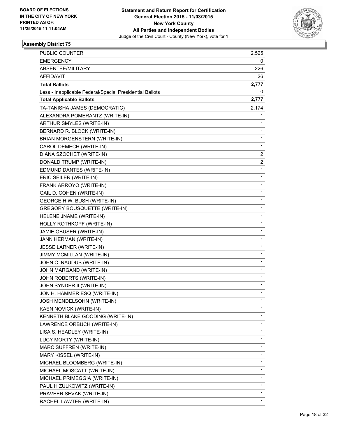

| <b>PUBLIC COUNTER</b>                                    | 2,525 |
|----------------------------------------------------------|-------|
| <b>EMERGENCY</b>                                         | 0     |
| ABSENTEE/MILITARY                                        | 226   |
| AFFIDAVIT                                                | 26    |
| <b>Total Ballots</b>                                     | 2,777 |
| Less - Inapplicable Federal/Special Presidential Ballots | 0     |
| <b>Total Applicable Ballots</b>                          | 2,777 |
| TA-TANISHA JAMES (DEMOCRATIC)                            | 2,174 |
| ALEXANDRA POMERANTZ (WRITE-IN)                           | 1     |
| ARTHUR SMYLES (WRITE-IN)                                 | 1     |
| BERNARD R. BLOCK (WRITE-IN)                              | 1     |
| BRIAN MORGENSTERN (WRITE-IN)                             | 1     |
| CAROL DEMECH (WRITE-IN)                                  | 1     |
| DIANA SZOCHET (WRITE-IN)                                 | 2     |
| DONALD TRUMP (WRITE-IN)                                  | 2     |
| EDMUND DANTES (WRITE-IN)                                 | 1     |
| ERIC SEILER (WRITE-IN)                                   | 1     |
| FRANK ARROYO (WRITE-IN)                                  | 1     |
| GAIL D. COHEN (WRITE-IN)                                 | 1     |
| GEORGE H.W. BUSH (WRITE-IN)                              | 1     |
| <b>GREGORY BOUSQUETTE (WRITE-IN)</b>                     | 1     |
| HELENE JNAME (WRITE-IN)                                  | 1     |
| HOLLY ROTHKOPF (WRITE-IN)                                | 1     |
| JAMIE OBUSER (WRITE-IN)                                  | 1     |
| JANN HERMAN (WRITE-IN)                                   | 1     |
| JESSE LARNER (WRITE-IN)                                  | 1     |
| JIMMY MCMILLAN (WRITE-IN)                                | 1     |
| JOHN C. NAUDUS (WRITE-IN)                                | 1     |
| JOHN MARGAND (WRITE-IN)                                  | 1     |
| JOHN ROBERTS (WRITE-IN)                                  | 1     |
| JOHN SYNDER II (WRITE-IN)                                | 1     |
| JON H. HAMMER ESQ (WRITE-IN)                             | 1     |
| JOSH MENDELSOHN (WRITE-IN)                               | 1     |
| KAEN NOVICK (WRITE-IN)                                   | 1     |
| KENNETH BLAKE GOODING (WRITE-IN)                         | 1     |
| LAWRENCE ORBUCH (WRITE-IN)                               | 1     |
| LISA S. HEADLEY (WRITE-IN)                               | 1     |
| LUCY MORTY (WRITE-IN)                                    | 1     |
| MARC SUFFREN (WRITE-IN)                                  | 1     |
| MARY KISSEL (WRITE-IN)                                   | 1     |
| MICHAEL BLOOMBERG (WRITE-IN)                             | 1     |
| MICHAEL MOSCATT (WRITE-IN)                               | 1     |
| MICHAEL PRIMEGGIA (WRITE-IN)                             | 1     |
| PAUL H ZULKOWITZ (WRITE-IN)                              | 1     |
| PRAVEER SEVAK (WRITE-IN)                                 | 1     |
| RACHEL LAWTER (WRITE-IN)                                 | 1     |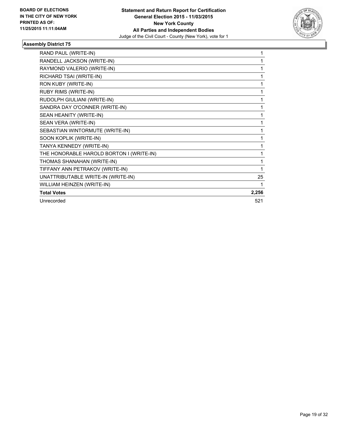

| RAND PAUL (WRITE-IN)                     | 1     |
|------------------------------------------|-------|
| RANDELL JACKSON (WRITE-IN)               | 1     |
| RAYMOND VALERIO (WRITE-IN)               | 1     |
| RICHARD TSAI (WRITE-IN)                  | 1     |
| RON KUBY (WRITE-IN)                      | 1     |
| <b>RUBY RIMS (WRITE-IN)</b>              | 1     |
| RUDOLPH GIULIANI (WRITE-IN)              | 1     |
| SANDRA DAY O'CONNER (WRITE-IN)           | 1     |
| SEAN HEANITY (WRITE-IN)                  | 1     |
| SEAN VERA (WRITE-IN)                     | 1     |
| SEBASTIAN WINTORMUTE (WRITE-IN)          | 1     |
| SOON KOPLIK (WRITE-IN)                   | 1     |
| TANYA KENNEDY (WRITE-IN)                 | 1     |
| THE HONORABLE HAROLD BORTON I (WRITE-IN) | 1     |
| THOMAS SHANAHAN (WRITE-IN)               | 1     |
| TIFFANY ANN PETRAKOV (WRITE-IN)          | 1     |
| UNATTRIBUTABLE WRITE-IN (WRITE-IN)       | 25    |
| WILLIAM HEINZEN (WRITE-IN)               |       |
| <b>Total Votes</b>                       | 2,256 |
| Unrecorded                               | 521   |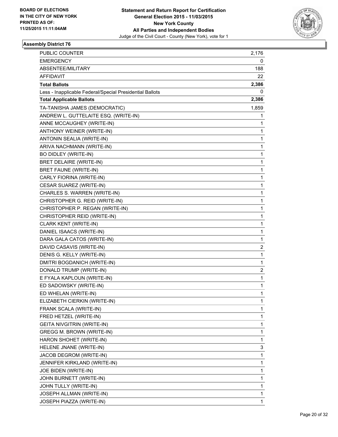

| PUBLIC COUNTER                                           | 2,176                   |
|----------------------------------------------------------|-------------------------|
| <b>EMERGENCY</b>                                         | 0                       |
| ABSENTEE/MILITARY                                        | 188                     |
| <b>AFFIDAVIT</b>                                         | 22                      |
| <b>Total Ballots</b>                                     | 2,386                   |
| Less - Inapplicable Federal/Special Presidential Ballots | 0                       |
| <b>Total Applicable Ballots</b>                          | 2,386                   |
| TA-TANISHA JAMES (DEMOCRATIC)                            | 1,859                   |
| ANDREW L. GUTTELAITE ESQ. (WRITE-IN)                     | 1                       |
| ANNE MCCAUGHEY (WRITE-IN)                                | 1                       |
| ANTHONY WEINER (WRITE-IN)                                | 1                       |
| ANTONIN SEALIA (WRITE-IN)                                | 1                       |
| ARIVA NACHMANN (WRITE-IN)                                | 1                       |
| BO DIDLEY (WRITE-IN)                                     | 1                       |
| BRET DELAIRE (WRITE-IN)                                  | 1                       |
| <b>BRET FAUNE (WRITE-IN)</b>                             | 1                       |
| CARLY FIORINA (WRITE-IN)                                 | 1                       |
| CESAR SUAREZ (WRITE-IN)                                  | 1                       |
| CHARLES S. WARREN (WRITE-IN)                             | 1                       |
| CHRISTOPHER G. REID (WRITE-IN)                           | 1                       |
| CHRISTOPHER P. REGAN (WRITE-IN)                          | 1                       |
| CHRISTOPHER REID (WRITE-IN)                              | 1                       |
| CLARK KENT (WRITE-IN)                                    | 1                       |
| DANIEL ISAACS (WRITE-IN)                                 | 1                       |
| DARA GALA CATOS (WRITE-IN)                               | 1                       |
| DAVID CASAVIS (WRITE-IN)                                 | $\overline{\mathbf{c}}$ |
| DENIS G. KELLY (WRITE-IN)                                | 1                       |
| DMITRI BOGDANICH (WRITE-IN)                              | 1                       |
| DONALD TRUMP (WRITE-IN)                                  | $\overline{\mathbf{c}}$ |
| E FYALA KAPLOUN (WRITE-IN)                               | 1                       |
| ED SADOWSKY (WRITE-IN)                                   | 1                       |
| ED WHELAN (WRITE-IN)                                     | 1                       |
| ELIZABETH CIERKIN (WRITE-IN)                             | 1                       |
| FRANK SCALA (WRITE-IN)                                   | 1                       |
| FRED HETZEL (WRITE-IN)                                   | 1                       |
| GEITA NIVGITRIN (WRITE-IN)                               | 1                       |
| GREGG M. BROWN (WRITE-IN)                                | 1                       |
| HARON SHOHET (WRITE-IN)                                  | 1                       |
| HELENE JNANE (WRITE-IN)                                  | 3                       |
| JACOB DEGROM (WRITE-IN)                                  | 1                       |
| JENNIFER KIRKLAND (WRITE-IN)                             | 1                       |
| JOE BIDEN (WRITE-IN)                                     | 1                       |
| JOHN BURNETT (WRITE-IN)                                  | 1                       |
| JOHN TULLY (WRITE-IN)                                    | 1                       |
| JOSEPH ALLMAN (WRITE-IN)                                 | 1                       |
| JOSEPH PIAZZA (WRITE-IN)                                 | 1                       |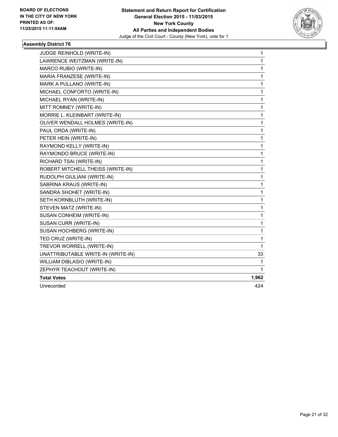

| JUDGE REINHOLD (WRITE-IN)          | 1     |
|------------------------------------|-------|
| LAWRENCE WEITZMAN (WRITE-IN)       | 1     |
| MARCO RUBIO (WRITE-IN)             | 1     |
| MARIA FRANZESE (WRITE-IN)          | 1     |
| MARK A PULLANO (WRITE-IN)          | 1     |
| MICHAEL CONFORTO (WRITE-IN)        | 1     |
| MICHAEL RYAN (WRITE-IN)            | 1     |
| MITT ROMNEY (WRITE-IN)             | 1     |
| MORRIE L. KLEINBART (WRITE-IN)     | 1     |
| OLIVER WENDALL HOLMES (WRITE-IN)   | 1     |
| PAUL ORDA (WRITE-IN)               | 1     |
| PETER HEIN (WRITE-IN)              | 1     |
| RAYMOND KELLY (WRITE-IN)           | 1     |
| RAYMONDO BRUCE (WRITE-IN)          | 1     |
| RICHARD TSAI (WRITE-IN)            | 1     |
| ROBERT MITCHELL THEISS (WRITE-IN)  | 1     |
| RUDOLPH GIULIANI (WRITE-IN)        | 1     |
| SABRINA KRAUS (WRITE-IN)           | 1     |
| SANDRA SHOHET (WRITE-IN)           | 1     |
| SETH KORNBLUTH (WRITE-IN)          | 1     |
| STEVEN MATZ (WRITE-IN)             | 1     |
| SUSAN CONHEIM (WRITE-IN)           | 1     |
| SUSAN CURR (WRITE-IN)              | 1     |
| SUSAN HOCHBERG (WRITE-IN)          | 1     |
| TED CRUZ (WRITE-IN)                | 1     |
| TREVOR WORRELL (WRITE-IN)          | 1     |
| UNATTRIBUTABLE WRITE-IN (WRITE-IN) | 33    |
| WILLIAM DIBLASIO (WRITE-IN)        | 1     |
| ZEPHYR TEACHOUT (WRITE-IN)         | 1     |
| <b>Total Votes</b>                 | 1,962 |
| Unrecorded                         | 424   |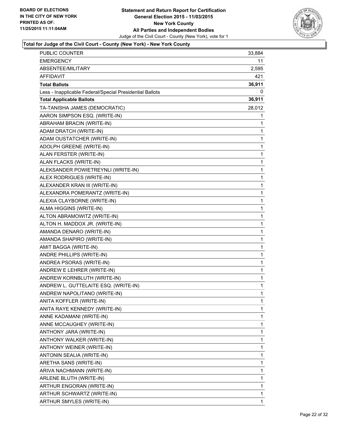

| PUBLIC COUNTER                                           | 33,884 |
|----------------------------------------------------------|--------|
| <b>EMERGENCY</b>                                         | 11     |
| ABSENTEE/MILITARY                                        | 2,595  |
| AFFIDAVIT                                                | 421    |
| <b>Total Ballots</b>                                     | 36,911 |
| Less - Inapplicable Federal/Special Presidential Ballots | 0      |
| <b>Total Applicable Ballots</b>                          | 36,911 |
| TA-TANISHA JAMES (DEMOCRATIC)                            | 28,012 |
| AARON SIMPSON ESQ. (WRITE-IN)                            | 1      |
| ABRAHAM BRACIN (WRITE-IN)                                | 1      |
| ADAM DRATCH (WRITE-IN)                                   | 1      |
| ADAM OUSTATCHER (WRITE-IN)                               | 1      |
| ADOLPH GREENE (WRITE-IN)                                 | 1      |
| ALAN FERSTER (WRITE-IN)                                  | 1      |
| ALAN FLACKS (WRITE-IN)                                   | 1      |
| ALEKSANDER POWIETREYNLI (WRITE-IN)                       | 1      |
| ALEX RODRIGUES (WRITE-IN)                                | 1      |
| ALEXANDER KRAN III (WRITE-IN)                            | 1      |
| ALEXANDRA POMERANTZ (WRITE-IN)                           | 1      |
| ALEXIA CLAYBORNE (WRITE-IN)                              | 1      |
| ALMA HIGGINS (WRITE-IN)                                  | 1      |
| ALTON ABRAMOWITZ (WRITE-IN)                              | 1      |
| ALTON H. MADDOX JR. (WRITE-IN)                           | 1      |
| AMANDA DENARO (WRITE-IN)                                 | 1      |
| AMANDA SHAPIRO (WRITE-IN)                                | 1      |
| AMIT BAGGA (WRITE-IN)                                    | 1      |
| ANDRE PHILLIPS (WRITE-IN)                                | 1      |
| ANDREA PSORAS (WRITE-IN)                                 | 1      |
| ANDREW E LEHRER (WRITE-IN)                               | 1      |
| ANDREW KORNBLUTH (WRITE-IN)                              | 1      |
| ANDREW L. GUTTELAITE ESQ. (WRITE-IN)                     | 1      |
| ANDREW NAPOLITANO (WRITE-IN)                             | 1      |
| ANITA KOFFLER (WRITE-IN)                                 | 1      |
| ANITA RAYE KENNEDY (WRITE-IN)                            | 1      |
| ANNE KADAMANI (WRITE-IN)                                 | 1      |
| ANNE MCCAUGHEY (WRITE-IN)                                | 1      |
| ANTHONY JARA (WRITE-IN)                                  | 1      |
| ANTHONY WALKER (WRITE-IN)                                | 1      |
| ANTHONY WEINER (WRITE-IN)                                | 1      |
| ANTONIN SEALIA (WRITE-IN)                                | 1      |
| ARETHA SANS (WRITE-IN)                                   | 1      |
| ARIVA NACHMANN (WRITE-IN)                                | 1      |
| ARLENE BLUTH (WRITE-IN)                                  | 1      |
| ARTHUR ENGORAN (WRITE-IN)                                | 1      |
| ARTHUR SCHWARTZ (WRITE-IN)                               | 1      |
| ARTHUR SMYLES (WRITE-IN)                                 | 1      |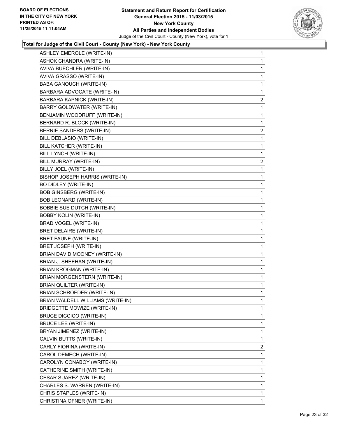

| <b>ASHLEY EMEROLE (WRITE-IN)</b>   | $\mathbf{1}$            |
|------------------------------------|-------------------------|
| ASHOK CHANDRA (WRITE-IN)           | 1                       |
| AVIVA BUECHLER (WRITE-IN)          | 1                       |
| AVIVA GRASSO (WRITE-IN)            | 1                       |
| <b>BABA GANOUCH (WRITE-IN)</b>     | 1                       |
| BARBARA ADVOCATE (WRITE-IN)        | 1                       |
| BARBARA KAPNICK (WRITE-IN)         | 2                       |
| BARRY GOLDWATER (WRITE-IN)         | 1                       |
| BENJAMIN WOODRUFF (WRITE-IN)       | 1                       |
| BERNARD R. BLOCK (WRITE-IN)        | 1                       |
| BERNIE SANDERS (WRITE-IN)          | 2                       |
| BILL DEBLASIO (WRITE-IN)           | 1                       |
| BILL KATCHER (WRITE-IN)            | 1                       |
| BILL LYNCH (WRITE-IN)              | 1                       |
| BILL MURRAY (WRITE-IN)             | $\overline{\mathbf{c}}$ |
| BILLY JOEL (WRITE-IN)              | 1                       |
| BISHOP JOSEPH HARRIS (WRITE-IN)    | 1                       |
| BO DIDLEY (WRITE-IN)               | 1                       |
| <b>BOB GINSBERG (WRITE-IN)</b>     | 1                       |
| BOB LEONARD (WRITE-IN)             | 1                       |
| BOBBIE SUE DUTCH (WRITE-IN)        | 1                       |
| <b>BOBBY KOLIN (WRITE-IN)</b>      | 1                       |
| BRAD VOGEL (WRITE-IN)              | 1                       |
| <b>BRET DELAIRE (WRITE-IN)</b>     | 1                       |
| BRET FAUNE (WRITE-IN)              | 1                       |
| BRET JOSEPH (WRITE-IN)             | 1                       |
| BRIAN DAVID MOONEY (WRITE-IN)      | 1                       |
| BRIAN J. SHEEHAN (WRITE-IN)        | 1                       |
| BRIAN KROGMAN (WRITE-IN)           | 1                       |
| BRIAN MORGENSTERN (WRITE-IN)       | 1                       |
| BRIAN QUILTER (WRITE-IN)           | 1                       |
| BRIAN SCHROEDER (WRITE-IN)         | 1                       |
| BRIAN WALDELL WILLIAMS (WRITE-IN)  | 1                       |
| <b>BRIDGETTE MOWIZE (WRITE-IN)</b> | $\mathbf{1}$            |
| <b>BRUCE DICCICO (WRITE-IN)</b>    | 1                       |
| <b>BRUCE LEE (WRITE-IN)</b>        | 1                       |
| BRYAN JIMENEZ (WRITE-IN)           | 1                       |
| CALVIN BUTTS (WRITE-IN)            | 1                       |
| CARLY FIORINA (WRITE-IN)           | 2                       |
| CAROL DEMECH (WRITE-IN)            | 1                       |
| CAROLYN CONABOY (WRITE-IN)         | 1                       |
| CATHERINE SMITH (WRITE-IN)         | 1                       |
| CESAR SUAREZ (WRITE-IN)            | 1                       |
| CHARLES S. WARREN (WRITE-IN)       | $\mathbf{1}$            |
| CHRIS STAPLES (WRITE-IN)           | 1                       |
| CHRISTINA OFNER (WRITE-IN)         | $\mathbf{1}$            |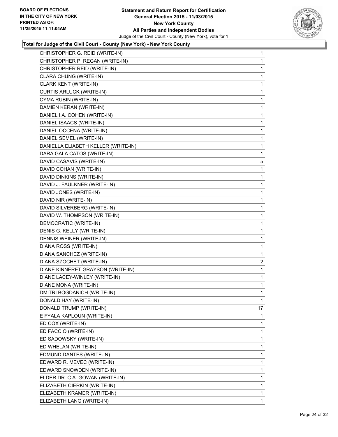

| CHRISTOPHER G. REID (WRITE-IN)      | 1            |
|-------------------------------------|--------------|
| CHRISTOPHER P. REGAN (WRITE-IN)     | 1            |
| CHRISTOPHER REID (WRITE-IN)         | 1            |
| CLARA CHUNG (WRITE-IN)              | 1            |
| CLARK KENT (WRITE-IN)               | 1            |
| <b>CURTIS ARLUCK (WRITE-IN)</b>     | 1            |
| CYMA RUBIN (WRITE-IN)               | 1            |
| DAMIEN KERAN (WRITE-IN)             | 1            |
| DANIEL I.A. COHEN (WRITE-IN)        | 1            |
| DANIEL ISAACS (WRITE-IN)            | 1            |
| DANIEL OCCENA (WRITE-IN)            | 1            |
| DANIEL SEMEL (WRITE-IN)             | 1            |
| DANIELLA ELIABETH KELLER (WRITE-IN) | 1            |
| DARA GALA CATOS (WRITE-IN)          | 1            |
| DAVID CASAVIS (WRITE-IN)            | 5            |
| DAVID COHAN (WRITE-IN)              | 1            |
| DAVID DINKINS (WRITE-IN)            | 1            |
| DAVID J. FAULKNER (WRITE-IN)        | 1            |
| DAVID JONES (WRITE-IN)              | 1            |
| DAVID NIR (WRITE-IN)                | 1            |
| DAVID SILVERBERG (WRITE-IN)         | 1            |
| DAVID W. THOMPSON (WRITE-IN)        | 1            |
| DEMOCRATIC (WRITE-IN)               | 1            |
| DENIS G. KELLY (WRITE-IN)           | 1            |
| DENNIS WEINER (WRITE-IN)            | 1            |
| DIANA ROSS (WRITE-IN)               | 1            |
| DIANA SANCHEZ (WRITE-IN)            | 1            |
| DIANA SZOCHET (WRITE-IN)            | 2            |
| DIANE KINNERET GRAYSON (WRITE-IN)   | 1            |
| DIANE LACEY-WINLEY (WRITE-IN)       | 1            |
| DIANE MONA (WRITE-IN)               | 1            |
| DMITRI BOGDANICH (WRITE-IN)         | 1            |
| DONALD HAY (WRITE-IN)               | 1            |
| DONALD TRUMP (WRITE-IN)             | 17           |
| E FYALA KAPLOUN (WRITE-IN)          | 1            |
| ED COX (WRITE-IN)                   | 1            |
| ED FACCIO (WRITE-IN)                | 1            |
| ED SADOWSKY (WRITE-IN)              | 1            |
| ED WHELAN (WRITE-IN)                | 1            |
| EDMUND DANTES (WRITE-IN)            | 1            |
| EDWARD R. MEVEC (WRITE-IN)          | 1            |
| EDWARD SNOWDEN (WRITE-IN)           | 1            |
| ELDER DR. C.A. GOWAN (WRITE-IN)     | 1            |
| ELIZABETH CIERKIN (WRITE-IN)        | 1            |
| ELIZABETH KRAMER (WRITE-IN)         | 1            |
| ELIZABETH LANG (WRITE-IN)           | $\mathbf{1}$ |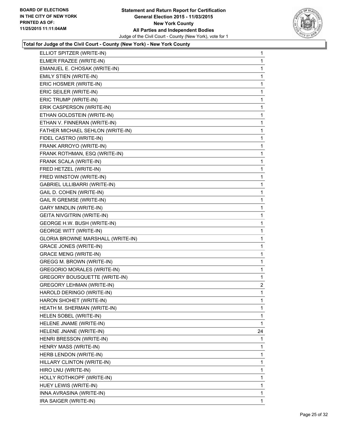

| ELLIOT SPITZER (WRITE-IN)            | $\mathbf{1}$ |
|--------------------------------------|--------------|
| ELMER FRAZEE (WRITE-IN)              | 1            |
| EMANUEL E. CHOSAK (WRITE-IN)         | 1            |
| EMILY STIEN (WRITE-IN)               | 1            |
| ERIC HOSMER (WRITE-IN)               | 1            |
| ERIC SEILER (WRITE-IN)               | 1            |
| ERIC TRUMP (WRITE-IN)                | 1            |
| ERIK CASPERSON (WRITE-IN)            | 1            |
| ETHAN GOLDSTEIN (WRITE-IN)           | 1            |
| ETHAN V. FINNERAN (WRITE-IN)         | 1            |
| FATHER MICHAEL SEHLON (WRITE-IN)     | 1            |
| FIDEL CASTRO (WRITE-IN)              | 1            |
| FRANK ARROYO (WRITE-IN)              | 1            |
| FRANK ROTHMAN, ESQ (WRITE-IN)        | 1            |
| FRANK SCALA (WRITE-IN)               | 1            |
| FRED HETZEL (WRITE-IN)               | 1            |
| FRED WINSTOW (WRITE-IN)              | 1            |
| <b>GABRIEL ULLIBARRI (WRITE-IN)</b>  | 1            |
| GAIL D. COHEN (WRITE-IN)             | 1            |
| <b>GAIL R GREMSE (WRITE-IN)</b>      | 1            |
| <b>GARY MINDLIN (WRITE-IN)</b>       | 1            |
| <b>GEITA NIVGITRIN (WRITE-IN)</b>    | 1            |
| GEORGE H.W. BUSH (WRITE-IN)          | 1            |
| <b>GEORGE WITT (WRITE-IN)</b>        | 1            |
| GLORIA BROWNE MARSHALL (WRITE-IN)    | 1            |
| <b>GRACE JONES (WRITE-IN)</b>        | 1            |
| <b>GRACE MENG (WRITE-IN)</b>         | 1            |
| GREGG M. BROWN (WRITE-IN)            | 1            |
| <b>GREGORIO MORALES (WRITE-IN)</b>   | 1            |
| <b>GREGORY BOUSQUETTE (WRITE-IN)</b> | 1            |
| <b>GREGORY LEHMAN (WRITE-IN)</b>     | 2            |
| HAROLD DERINGO (WRITE-IN)            | 1            |
| HARON SHOHET (WRITE-IN)              | 1            |
| HEATH M. SHERMAN (WRITE-IN)          | $\mathbf{1}$ |
| HELEN SOBEL (WRITE-IN)               | 1            |
| HELENE JNAME (WRITE-IN)              | 1            |
| HELENE JNANE (WRITE-IN)              | 24           |
| HENRI BRESSON (WRITE-IN)             | 1            |
| HENRY MASS (WRITE-IN)                | 1            |
| HERB LENDON (WRITE-IN)               | 1            |
| HILLARY CLINTON (WRITE-IN)           | 1            |
| HIRO LNU (WRITE-IN)                  | 1            |
| HOLLY ROTHKOPF (WRITE-IN)            | 1            |
| HUEY LEWIS (WRITE-IN)                | $\mathbf{1}$ |
| INNA AVRASINA (WRITE-IN)             | 1            |
| IRA SAIGER (WRITE-IN)                | $\mathbf{1}$ |
|                                      |              |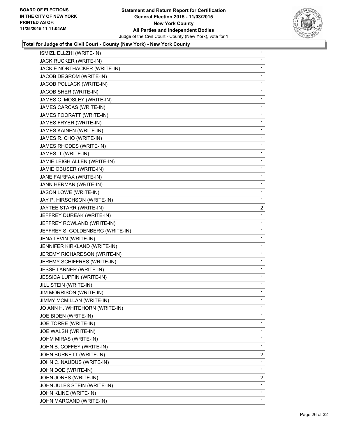

| ISMIZL ELLZHI (WRITE-IN)         | 1 |
|----------------------------------|---|
| JACK RUCKER (WRITE-IN)           | 1 |
| JACKIE NORTHACKER (WRITE-IN)     | 1 |
| JACOB DEGROM (WRITE-IN)          | 1 |
| JACOB POLLACK (WRITE-IN)         | 1 |
| JACOB SHER (WRITE-IN)            | 1 |
| JAMES C. MOSLEY (WRITE-IN)       | 1 |
| JAMES CARCAS (WRITE-IN)          | 1 |
| JAMES FOORATT (WRITE-IN)         | 1 |
| JAMES FRYER (WRITE-IN)           | 1 |
| JAMES KAINEN (WRITE-IN)          | 1 |
| JAMES R. CHO (WRITE-IN)          | 1 |
| JAMES RHODES (WRITE-IN)          | 1 |
| JAMES, T (WRITE-IN)              | 1 |
| JAMIE LEIGH ALLEN (WRITE-IN)     | 1 |
| JAMIE OBUSER (WRITE-IN)          | 1 |
| JANE FAIRFAX (WRITE-IN)          | 1 |
| JANN HERMAN (WRITE-IN)           | 1 |
| JASON LOWE (WRITE-IN)            | 1 |
| JAY P. HIRSCHSON (WRITE-IN)      | 1 |
| JAYTEE STARR (WRITE-IN)          | 2 |
| JEFFREY DUREAK (WRITE-IN)        | 1 |
| JEFFREY ROWLAND (WRITE-IN)       | 1 |
| JEFFREY S. GOLDENBERG (WRITE-IN) | 1 |
| JENA LEVIN (WRITE-IN)            | 1 |
| JENNIFER KIRKLAND (WRITE-IN)     | 1 |
| JEREMY RICHARDSON (WRITE-IN)     | 1 |
| JEREMY SCHIFFRES (WRITE-IN)      | 1 |
| JESSE LARNER (WRITE-IN)          | 1 |
| <b>JESSICA LUPPIN (WRITE-IN)</b> | 1 |
| JILL STEIN (WRITE-IN)            | 1 |
| <b>JIM MORRISON (WRITE-IN)</b>   | 1 |
| JIMMY MCMILLAN (WRITE-IN)        | 1 |
| JO ANN H. WHITEHORN (WRITE-IN)   | 1 |
| JOE BIDEN (WRITE-IN)             | 1 |
| JOE TORRE (WRITE-IN)             | 1 |
| JOE WALSH (WRITE-IN)             | 1 |
| JOHM MIRAS (WRITE-IN)            | 1 |
| JOHN B. COFFEY (WRITE-IN)        | 1 |
| JOHN BURNETT (WRITE-IN)          | 2 |
| JOHN C. NAUDUS (WRITE-IN)        | 1 |
| JOHN DOE (WRITE-IN)              | 1 |
| JOHN JONES (WRITE-IN)            | 2 |
| JOHN JULES STEIN (WRITE-IN)      | 1 |
| JOHN KLINE (WRITE-IN)            | 1 |
| JOHN MARGAND (WRITE-IN)          | 1 |
|                                  |   |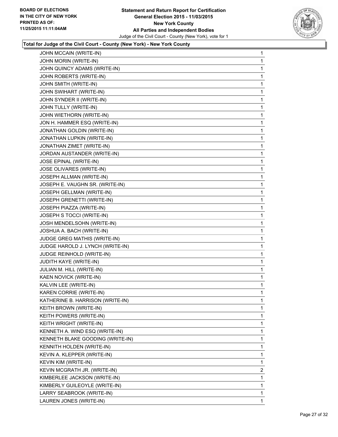

| JOHN MCCAIN (WRITE-IN)           | 1 |
|----------------------------------|---|
| JOHN MORIN (WRITE-IN)            | 1 |
| JOHN QUINCY ADAMS (WRITE-IN)     | 1 |
| JOHN ROBERTS (WRITE-IN)          | 1 |
| JOHN SMITH (WRITE-IN)            | 1 |
| JOHN SWIHART (WRITE-IN)          | 1 |
| JOHN SYNDER II (WRITE-IN)        | 1 |
| JOHN TULLY (WRITE-IN)            | 1 |
| JOHN WIETHORN (WRITE-IN)         | 1 |
| JON H. HAMMER ESQ (WRITE-IN)     | 1 |
| JONATHAN GOLDIN (WRITE-IN)       | 1 |
| JONATHAN LUPKIN (WRITE-IN)       | 1 |
| JONATHAN ZIMET (WRITE-IN)        | 1 |
| JORDAN AUSTANDER (WRITE-IN)      | 1 |
| JOSE EPINAL (WRITE-IN)           | 1 |
| JOSE OLIVARES (WRITE-IN)         | 1 |
| JOSEPH ALLMAN (WRITE-IN)         | 1 |
| JOSEPH E. VAUGHN SR. (WRITE-IN)  | 1 |
| JOSEPH GELLMAN (WRITE-IN)        | 1 |
| JOSEPH GRENETTI (WRITE-IN)       | 1 |
| JOSEPH PIAZZA (WRITE-IN)         | 1 |
| JOSEPH S TOCCI (WRITE-IN)        | 1 |
| JOSH MENDELSOHN (WRITE-IN)       | 1 |
| JOSHUA A. BACH (WRITE-IN)        | 1 |
| JUDGE GREG MATHIS (WRITE-IN)     | 1 |
| JUDGE HAROLD J. LYNCH (WRITE-IN) | 1 |
| JUDGE REINHOLD (WRITE-IN)        | 1 |
| JUDITH KAYE (WRITE-IN)           | 1 |
| JULIAN M. HILL (WRITE-IN)        | 1 |
| KAEN NOVICK (WRITE-IN)           | 1 |
| KALVIN LEE (WRITE-IN)            | 1 |
| KAREN CORRIE (WRITE-IN)          | 1 |
| KATHERINE B. HARRISON (WRITE-IN) | 1 |
| KEITH BROWN (WRITE-IN)           | 1 |
| KEITH POWERS (WRITE-IN)          | 1 |
| KEITH WRIGHT (WRITE-IN)          | 1 |
| KENNETH A. WIND ESQ (WRITE-IN)   | 1 |
| KENNETH BLAKE GOODING (WRITE-IN) | 1 |
| KENNITH HOLDEN (WRITE-IN)        | 1 |
| KEVIN A. KLEPPER (WRITE-IN)      | 1 |
| KEVIN KIM (WRITE-IN)             | 1 |
| KEVIN MCGRATH JR. (WRITE-IN)     | 2 |
| KIMBERLEE JACKSON (WRITE-IN)     | 1 |
| KIMBERLY GUILEOYLE (WRITE-IN)    | 1 |
| LARRY SEABROOK (WRITE-IN)        | 1 |
| LAUREN JONES (WRITE-IN)          | 1 |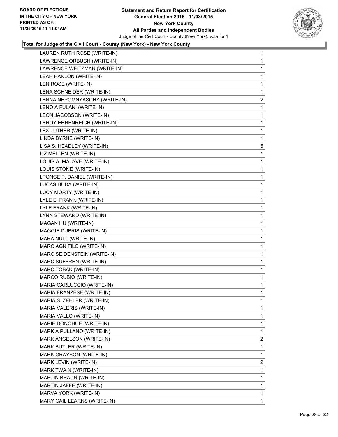

| LAUREN RUTH ROSE (WRITE-IN)   | 1                       |
|-------------------------------|-------------------------|
| LAWRENCE ORBUCH (WRITE-IN)    | 1                       |
| LAWRENCE WEITZMAN (WRITE-IN)  | 1                       |
| LEAH HANLON (WRITE-IN)        | 1                       |
| LEN ROSE (WRITE-IN)           | 1                       |
| LENA SCHNEIDER (WRITE-IN)     | 1                       |
| LENNA NEPOMNYASCHY (WRITE-IN) | $\overline{\mathbf{c}}$ |
| LENOIA FULANI (WRITE-IN)      | 1                       |
| LEON JACOBSON (WRITE-IN)      | 1                       |
| LEROY EHRENREICH (WRITE-IN)   | 1                       |
| LEX LUTHER (WRITE-IN)         | 1                       |
| LINDA BYRNE (WRITE-IN)        | 1                       |
| LISA S. HEADLEY (WRITE-IN)    | 5                       |
| LIZ MELLEN (WRITE-IN)         | 1                       |
| LOUIS A. MALAVE (WRITE-IN)    | 1                       |
| LOUIS STONE (WRITE-IN)        | 1                       |
| LPONCE P. DANIEL (WRITE-IN)   | 1                       |
| LUCAS DUDA (WRITE-IN)         | 1                       |
| LUCY MORTY (WRITE-IN)         | 1                       |
| LYLE E. FRANK (WRITE-IN)      | 1                       |
| LYLE FRANK (WRITE-IN)         | 1                       |
| LYNN STEWARD (WRITE-IN)       | 1                       |
| MAGAN HU (WRITE-IN)           | 1                       |
| MAGGIE DUBRIS (WRITE-IN)      | 1                       |
| MARA NULL (WRITE-IN)          | 1                       |
| MARC AGNIFILO (WRITE-IN)      | 1                       |
| MARC SEIDENSTEIN (WRITE-IN)   | 1                       |
| MARC SUFFREN (WRITE-IN)       | 1                       |
| MARC TOBAK (WRITE-IN)         | 1                       |
| MARCO RUBIO (WRITE-IN)        | 1                       |
| MARIA CARLUCCIO (WRITE-IN)    | 1                       |
| MARIA FRANZESE (WRITE-IN)     | 1                       |
| MARIA S. ZEHLER (WRITE-IN)    | 1                       |
| MARIA VALERIS (WRITE-IN)      | 1                       |
| MARIA VALLO (WRITE-IN)        | 1                       |
| MARIE DONOHUE (WRITE-IN)      | 1                       |
| MARK A PULLANO (WRITE-IN)     | 1                       |
| MARK ANGELSON (WRITE-IN)      | 2                       |
| MARK BUTLER (WRITE-IN)        | 1                       |
| MARK GRAYSON (WRITE-IN)       | 1                       |
| MARK LEVIN (WRITE-IN)         | $\overline{2}$          |
| MARK TWAIN (WRITE-IN)         | 1                       |
| MARTIN BRAUN (WRITE-IN)       | 1                       |
| MARTIN JAFFE (WRITE-IN)       | 1                       |
| MARVA YORK (WRITE-IN)         | 1                       |
| MARY GAIL LEARNS (WRITE-IN)   | 1                       |
|                               |                         |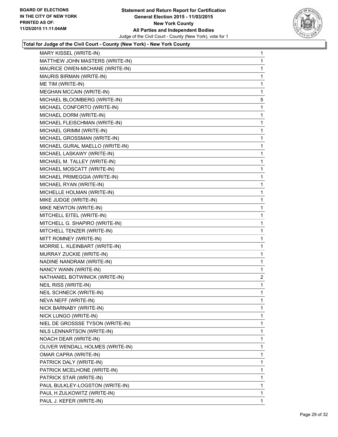

| MARY KISSEL (WRITE-IN)           | 1 |
|----------------------------------|---|
| MATTHEW JOHN MASTERS (WRITE-IN)  | 1 |
| MAURICE OWEN-MICHANE (WRITE-IN)  | 1 |
| MAURIS BIRMAN (WRITE-IN)         | 1 |
| ME TIM (WRITE-IN)                | 1 |
| MEGHAN MCCAIN (WRITE-IN)         | 1 |
| MICHAEL BLOOMBERG (WRITE-IN)     | 5 |
| MICHAEL CONFORTO (WRITE-IN)      | 1 |
| MICHAEL DORM (WRITE-IN)          | 1 |
| MICHAEL FLEISCHMAN (WRITE-IN)    | 1 |
| MICHAEL GRIMM (WRITE-IN)         | 1 |
| MICHAEL GROSSMAN (WRITE-IN)      | 1 |
| MICHAEL GURAL MAELLO (WRITE-IN)  | 1 |
| MICHAEL LASKAWY (WRITE-IN)       | 1 |
| MICHAEL M. TALLEY (WRITE-IN)     | 1 |
| MICHAEL MOSCATT (WRITE-IN)       | 1 |
| MICHAEL PRIMEGGIA (WRITE-IN)     | 1 |
| MICHAEL RYAN (WRITE-IN)          | 1 |
| MICHELLE HOLMAN (WRITE-IN)       | 1 |
| MIKE JUDGE (WRITE-IN)            | 1 |
| MIKE NEWTON (WRITE-IN)           | 1 |
| MITCHELL EITEL (WRITE-IN)        | 1 |
| MITCHELL G. SHAPIRO (WRITE-IN)   | 1 |
| MITCHELL TENZER (WRITE-IN)       | 1 |
| MITT ROMNEY (WRITE-IN)           | 1 |
| MORRIE L. KLEINBART (WRITE-IN)   | 1 |
| MURRAY ZUCKIE (WRITE-IN)         | 1 |
| NADINE NANDRAM (WRITE-IN)        | 1 |
| NANCY WANN (WRITE-IN)            | 1 |
| NATHANIEL BOTWINICK (WRITE-IN)   | 2 |
| NEIL RISS (WRITE-IN)             | 1 |
| <b>NEIL SCHNECK (WRITE-IN)</b>   | 1 |
| NEVA NEFF (WRITE-IN)             | 1 |
| NICK BARNABY (WRITE-IN)          | 1 |
| NICK LUNGO (WRITE-IN)            | 1 |
| NIEL DE GROSSSE TYSON (WRITE-IN) | 1 |
| NILS LENNARTSON (WRITE-IN)       | 1 |
| NOACH DEAR (WRITE-IN)            | 1 |
| OLIVER WENDALL HOLMES (WRITE-IN) | 1 |
| OMAR CAPRA (WRITE-IN)            | 1 |
| PATRICK DALY (WRITE-IN)          | 1 |
| PATRICK MCELHONE (WRITE-IN)      | 1 |
| PATRICK STAR (WRITE-IN)          | 1 |
| PAUL BULKLEY-LOGSTON (WRITE-IN)  | 1 |
| PAUL H ZULKOWITZ (WRITE-IN)      | 1 |
| PAUL J. KEFER (WRITE-IN)         | 1 |
|                                  |   |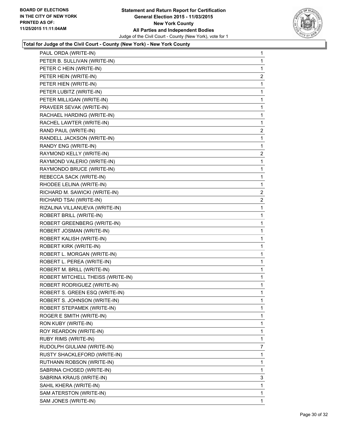

| PAUL ORDA (WRITE-IN)              | 1              |
|-----------------------------------|----------------|
| PETER B. SULLIVAN (WRITE-IN)      | 1              |
| PETER C HEIN (WRITE-IN)           | 1              |
| PETER HEIN (WRITE-IN)             | $\overline{c}$ |
| PETER HIEN (WRITE-IN)             | 1              |
| PETER LUBITZ (WRITE-IN)           | 1              |
| PETER MILLIGAN (WRITE-IN)         | 1              |
| PRAVEER SEVAK (WRITE-IN)          | 1              |
| RACHAEL HARDING (WRITE-IN)        | 1              |
| RACHEL LAWTER (WRITE-IN)          | 1              |
| RAND PAUL (WRITE-IN)              | 2              |
| RANDELL JACKSON (WRITE-IN)        | 1              |
| RANDY ENG (WRITE-IN)              | 1              |
| RAYMOND KELLY (WRITE-IN)          | $\mathbf{2}$   |
| RAYMOND VALERIO (WRITE-IN)        | 1              |
| RAYMONDO BRUCE (WRITE-IN)         | 1              |
| REBECCA SACK (WRITE-IN)           | 1              |
| RHODEE LELINA (WRITE-IN)          | 1              |
| RICHARD M. SAWICKI (WRITE-IN)     | 2              |
| RICHARD TSAI (WRITE-IN)           | $\mathbf{2}$   |
| RIZALINA VILLANUEVA (WRITE-IN)    | 1              |
| ROBERT BRILL (WRITE-IN)           | 1              |
| ROBERT GREENBERG (WRITE-IN)       | 1              |
| ROBERT JOSMAN (WRITE-IN)          | 1              |
| ROBERT KALISH (WRITE-IN)          | 1              |
| ROBERT KIRK (WRITE-IN)            | 1              |
| ROBERT L. MORGAN (WRITE-IN)       | 1              |
| ROBERT L. PEREA (WRITE-IN)        | 1              |
| ROBERT M. BRILL (WRITE-IN)        | 1              |
| ROBERT MITCHELL THEISS (WRITE-IN) | 1              |
| ROBERT RODRIGUEZ (WRITE-IN)       | 1              |
| ROBERT S. GREEN ESQ (WRITE-IN)    | 1              |
| ROBERT S. JOHNSON (WRITE-IN)      | 1              |
| ROBERT STEPAMEK (WRITE-IN)        | 1              |
| ROGER E SMITH (WRITE-IN)          | 1              |
| RON KUBY (WRITE-IN)               | 1              |
| ROY REARDON (WRITE-IN)            | 1              |
| RUBY RIMS (WRITE-IN)              | 1              |
| RUDOLPH GIULIANI (WRITE-IN)       | 7              |
| RUSTY SHACKLEFORD (WRITE-IN)      | 1              |
| RUTHANN ROBSON (WRITE-IN)         | 1              |
| SABRINA CHOSED (WRITE-IN)         | 1              |
| SABRINA KRAUS (WRITE-IN)          | 3              |
| SAHIL KHERA (WRITE-IN)            | 1              |
| SAM ATERSTON (WRITE-IN)           | 1              |
| SAM JONES (WRITE-IN)              | $\mathbf{1}$   |
|                                   |                |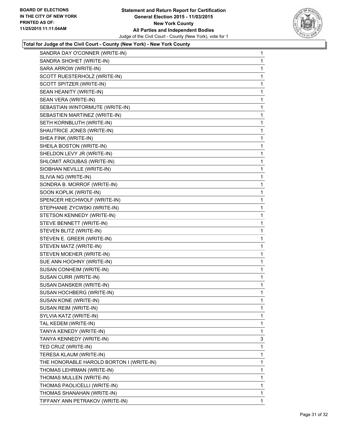

| SANDRA DAY O'CONNER (WRITE-IN)           | 1            |
|------------------------------------------|--------------|
| SANDRA SHOHET (WRITE-IN)                 | 1            |
| SARA ARROW (WRITE-IN)                    | 1            |
| SCOTT RUESTERHOLZ (WRITE-IN)             | 1            |
| SCOTT SPITZER (WRITE-IN)                 | 1            |
| SEAN HEANITY (WRITE-IN)                  | 1            |
| SEAN VERA (WRITE-IN)                     | 1            |
| SEBASTIAN WINTORMUTE (WRITE-IN)          | 1            |
| SEBASTIEN MARTINEZ (WRITE-IN)            | 1            |
| SETH KORNBLUTH (WRITE-IN)                | 1            |
| SHAUTRICE JONES (WRITE-IN)               | 1            |
| SHEA FINK (WRITE-IN)                     | 1            |
| SHEILA BOSTON (WRITE-IN)                 | 1            |
| SHELDON LEVY JR (WRITE-IN)               | 1            |
| SHLOMIT AROUBAS (WRITE-IN)               | 1            |
| SIOBHAN NEVILLE (WRITE-IN)               | 1            |
| SLIVIA NG (WRITE-IN)                     | 1            |
| SONDRA B. MORROF (WRITE-IN)              | 1            |
| SOON KOPLIK (WRITE-IN)                   | 1            |
| SPENCER HECHWOLF (WRITE-IN)              | 1            |
| STEPHANIE ZYCWSKI (WRITE-IN)             | 1            |
| STETSON KENNEDY (WRITE-IN)               | 1            |
| STEVE BENNETT (WRITE-IN)                 | 1            |
| STEVEN BLITZ (WRITE-IN)                  | 1            |
| STEVEN E. GREER (WRITE-IN)               | 1            |
| STEVEN MATZ (WRITE-IN)                   | 1            |
| STEVEN MOEHER (WRITE-IN)                 | 1            |
| SUE ANN HOOHNY (WRITE-IN)                | 1            |
| SUSAN CONHEIM (WRITE-IN)                 | 1            |
| SUSAN CURR (WRITE-IN)                    | 1            |
| SUSAN DANSKER (WRITE-IN)                 | 1            |
| SUSAN HOCHBERG (WRITE-IN)                | 1            |
| SUSAN KONE (WRITE-IN)                    | 1            |
| SUSAN REIM (WRITE-IN)                    | 1            |
| SYLVIA KATZ (WRITE-IN)                   | 1            |
| TAL KEDEM (WRITE-IN)                     | 1            |
| TANYA KENEDY (WRITE-IN)                  | 1            |
| TANYA KENNEDY (WRITE-IN)                 | 3            |
| TED CRUZ (WRITE-IN)                      | 1            |
| TERESA KLAUM (WRITE-IN)                  | 1            |
| THE HONORABLE HAROLD BORTON I (WRITE-IN) | 1            |
| THOMAS LEHRMAN (WRITE-IN)                | 1            |
| THOMAS MULLEN (WRITE-IN)                 | 1            |
| THOMAS PAOLICELLI (WRITE-IN)             | 1            |
| THOMAS SHANAHAN (WRITE-IN)               | 1            |
| TIFFANY ANN PETRAKOV (WRITE-IN)          | $\mathbf{1}$ |